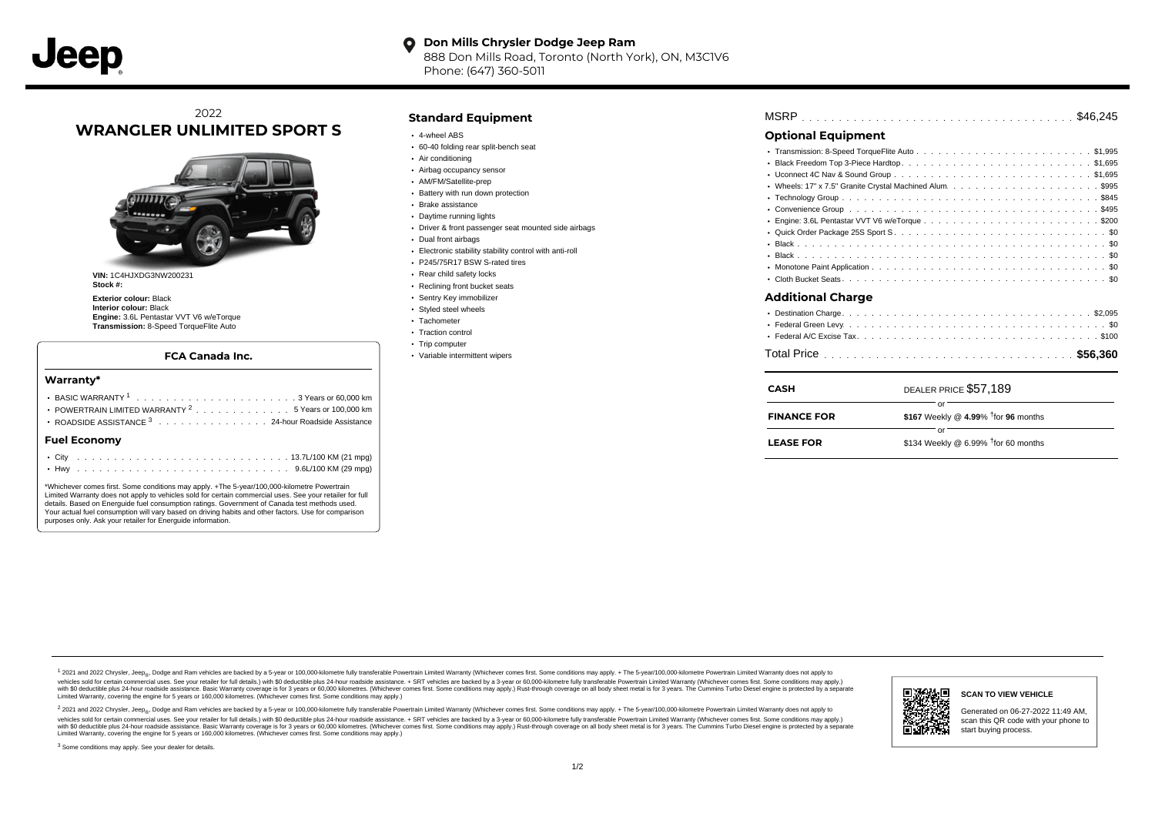#### **Don Mills Chrysler Dodge Jeep Ram**  $\bullet$ 888 Don Mills Road, Toronto (North York), ON, M3C1V6 Phone: (647) 360-5011

# 2022 **WRANGLER UNLIMITED SPORT S**



**VIN:** 1C4HJXDG3NW200231 **Stock #:**

**Exterior colour:** Black **Interior colour:** Black **Engine:** 3.6L Pentastar VVT V6 w/eTorque **Transmission:** 8-Speed TorqueFlite Auto

#### **FCA Canada Inc.**

#### **Warranty\***

| POWERTRAIN LIMITED WARRANTY <sup>2</sup> 5 Years or 100,000 km<br>ROADSIDE ASSISTANCE 3 24-hour Roadside Assistance |  |  |  |  |  |  |  |  |  |  |  |  |  |  |  |  |  |  |
|---------------------------------------------------------------------------------------------------------------------|--|--|--|--|--|--|--|--|--|--|--|--|--|--|--|--|--|--|
| <b>Fuel Economy</b>                                                                                                 |  |  |  |  |  |  |  |  |  |  |  |  |  |  |  |  |  |  |
|                                                                                                                     |  |  |  |  |  |  |  |  |  |  |  |  |  |  |  |  |  |  |

\*Whichever comes first. Some conditions may apply. +The 5-year/100,000-kilometre Powertrain Limited Warranty does not apply to vehicles sold for certain commercial uses. See your retailer for full details. Based on Energuide fuel consumption ratings. Government of Canada test methods used. Your actual fuel consumption will vary based on driving habits and other factors. Use for comparison purposes only. Ask your retailer for Energuide information.

### **Standard Equipment**

- 4-wheel ABS
- 60-40 folding rear split-bench seat
- Air conditioning
- Airbag occupancy sensor
- AM/FM/Satellite-prep
- Battery with run down protection
- Brake assistance
- Daytime running lights
- Driver & front passenger seat mounted side airbags
- Dual front airbags
- Electronic stability stability control with anti-roll
- P245/75R17 BSW S-rated tires
- Rear child safety locks
- Reclining front bucket seats
- Sentry Key immobilizer
- Styled steel wheels
- Tachometer
- Traction control
- Trip computer
- Variable intermittent wipers

| MSRP |  |  |  |  |  |  |  |  |  |  |  |  |  |  |  |  |  |  |  |  |  |  |  |  |  |  |  |  |  |  |  |  |  |  |  |  |  |  |  |
|------|--|--|--|--|--|--|--|--|--|--|--|--|--|--|--|--|--|--|--|--|--|--|--|--|--|--|--|--|--|--|--|--|--|--|--|--|--|--|--|
|------|--|--|--|--|--|--|--|--|--|--|--|--|--|--|--|--|--|--|--|--|--|--|--|--|--|--|--|--|--|--|--|--|--|--|--|--|--|--|--|

## **Optional Equipment**

| <b>CASH</b>              | DEALER PRICE \$57.189 |
|--------------------------|-----------------------|
|                          |                       |
|                          |                       |
| <b>Additional Charge</b> |                       |
|                          |                       |
|                          |                       |
|                          |                       |
|                          |                       |
| $\bullet$                |                       |
|                          |                       |
|                          |                       |
|                          |                       |
|                          |                       |

| CASH               | DEALER PRICE \$57,189                        |
|--------------------|----------------------------------------------|
| <b>FINANCE FOR</b> | \$167 Weekly @ 4.99% $\dagger$ for 96 months |
| <b>LEASE FOR</b>   | \$134 Weekly @ 6.99% $†$ for 60 months       |

1 2021 and 2022 Chrysler, Jeep<sub>en</sub> Dodge and Ram vehicles are backed by a 5-year or 100,000-kilometre fully transferable Powertrain Limited Warranty (Whichever comes first. Some conditions may apply. + The 5-year/100,000-k vehicles sold for certain commercial uses. See your retailer for full details.) with \$0 deductible plus 24-hour roadside assistance. + SRT vehicles are backed by a 3-year or 60,000-kilometre fully transferable Powertrain L versus and contract the mean of the contract of the contract with a contract with a contract the contract of the search of the contract and a control of the contract and contract and control of the search of the search of Limited Warranty, covering the engine for 5 years or 160,000 kilometres. (Whichever comes first. Some conditions may apply.)

<sup>2</sup> 2021 and 2022 Chrysler, Jeep<sub>®</sub>, Dodge and Ram vehicles are backed by a 5-year or 100,000-kilometre fully transferable Powertrain Limited Warranty (Whichever comes first. Some conditions may apply. + The 5-year/100,000 vehicles sold for certain commercial uses. See your retailer for full details.) with SO deductible plus 24-hour roadside assistance. + SRT vehicles are backed by a 3-year or 60.000-kilometre fully transferable Powertrain L with S0 deductible plus 24-hour roadside assistance. Basic Warranty coverage is for 3 years or 60,000 kilometres. (Whichever comes first. Some conditions may apply.) Rust-through coverage on all body sheet metal is for 3 y



#### **SCAN TO VIEW VEHICLE**

Generated on 06-27-2022 11:49 AM, scan this QR code with your phone to start buying process.

<sup>3</sup> Some conditions may apply. See your dealer for details.